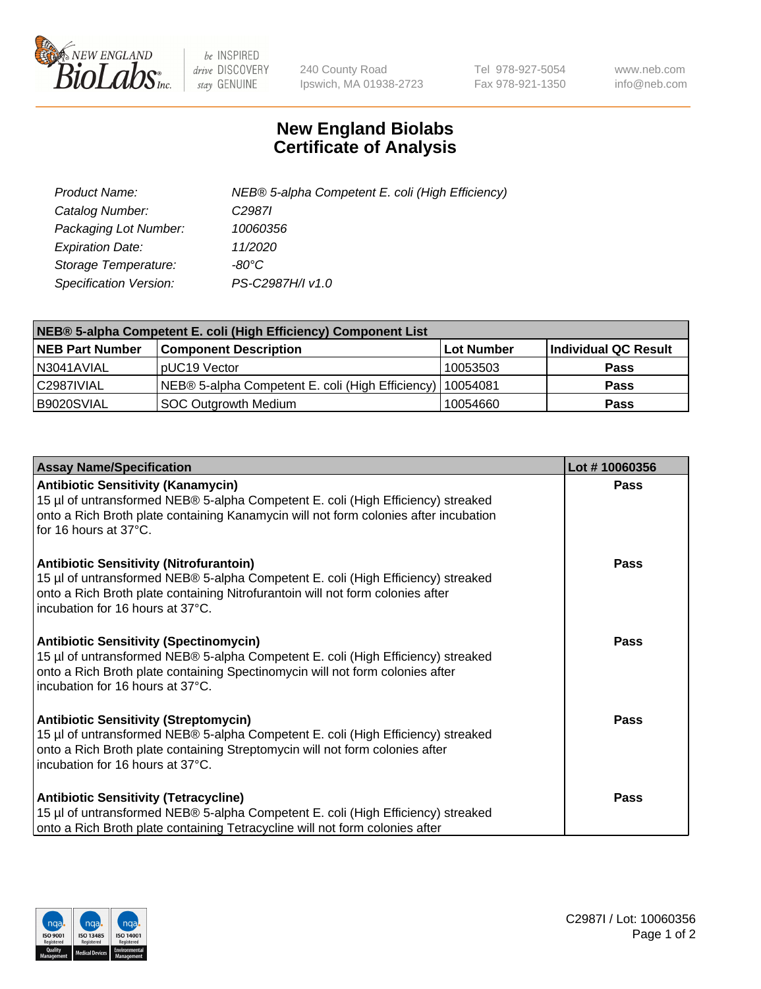

 $be$  INSPIRED drive DISCOVERY stay GENUINE

240 County Road Ipswich, MA 01938-2723 Tel 978-927-5054 Fax 978-921-1350 www.neb.com info@neb.com

## **New England Biolabs Certificate of Analysis**

| Product Name:           | NEB® 5-alpha Competent E. coli (High Efficiency) |
|-------------------------|--------------------------------------------------|
| Catalog Number:         | C <sub>2987</sub>                                |
| Packaging Lot Number:   | 10060356                                         |
| <b>Expiration Date:</b> | 11/2020                                          |
| Storage Temperature:    | -80°C                                            |
| Specification Version:  | PS-C2987H/I v1.0                                 |

| NEB® 5-alpha Competent E. coli (High Efficiency) Component List |                                                  |            |                      |  |
|-----------------------------------------------------------------|--------------------------------------------------|------------|----------------------|--|
| <b>NEB Part Number</b>                                          | <b>Component Description</b>                     | Lot Number | Individual QC Result |  |
| N3041AVIAL                                                      | pUC19 Vector                                     | 10053503   | <b>Pass</b>          |  |
| C2987IVIAL                                                      | NEB® 5-alpha Competent E. coli (High Efficiency) | l 10054081 | <b>Pass</b>          |  |
| B9020SVIAL                                                      | <b>SOC Outgrowth Medium</b>                      | 10054660   | <b>Pass</b>          |  |

| <b>Assay Name/Specification</b>                                                                                                                                                                                                                          | Lot #10060356 |
|----------------------------------------------------------------------------------------------------------------------------------------------------------------------------------------------------------------------------------------------------------|---------------|
| <b>Antibiotic Sensitivity (Kanamycin)</b><br>15 µl of untransformed NEB® 5-alpha Competent E. coli (High Efficiency) streaked<br>onto a Rich Broth plate containing Kanamycin will not form colonies after incubation<br>for 16 hours at 37°C.           | Pass          |
| <b>Antibiotic Sensitivity (Nitrofurantoin)</b><br>15 µl of untransformed NEB® 5-alpha Competent E. coli (High Efficiency) streaked<br>onto a Rich Broth plate containing Nitrofurantoin will not form colonies after<br>incubation for 16 hours at 37°C. | Pass          |
| <b>Antibiotic Sensitivity (Spectinomycin)</b><br>15 µl of untransformed NEB® 5-alpha Competent E. coli (High Efficiency) streaked<br>onto a Rich Broth plate containing Spectinomycin will not form colonies after<br>incubation for 16 hours at 37°C.   | <b>Pass</b>   |
| <b>Antibiotic Sensitivity (Streptomycin)</b><br>15 µl of untransformed NEB® 5-alpha Competent E. coli (High Efficiency) streaked<br>onto a Rich Broth plate containing Streptomycin will not form colonies after<br>incubation for 16 hours at 37°C.     | Pass          |
| <b>Antibiotic Sensitivity (Tetracycline)</b><br>15 µl of untransformed NEB® 5-alpha Competent E. coli (High Efficiency) streaked<br>onto a Rich Broth plate containing Tetracycline will not form colonies after                                         | Pass          |